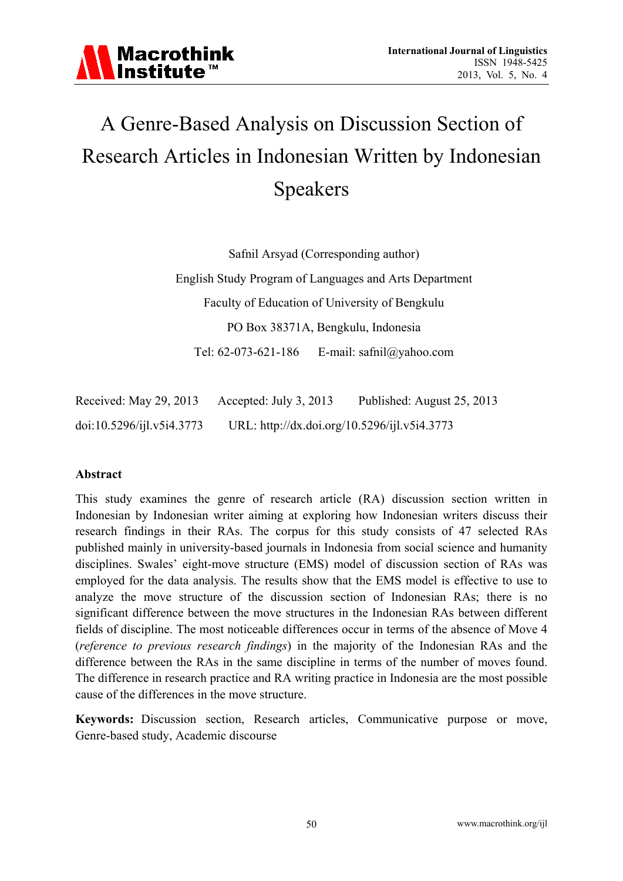# A Genre-Based Analysis on Discussion Section of Research Articles in Indonesian Written by Indonesian Speakers

Safnil Arsyad (Corresponding author)

English Study Program of Languages and Arts Department Faculty of Education of University of Bengkulu PO Box 38371A, Bengkulu, Indonesia Tel: 62-073-621-186 E-mail: safnil@yahoo.com

| Received: May 29, 2013    | Accepted: July 3, $2013$                     | Published: August 25, 2013 |
|---------------------------|----------------------------------------------|----------------------------|
| doi:10.5296/ijl.v5i4.3773 | URL: http://dx.doi.org/10.5296/ijl.v5i4.3773 |                            |

# **Abstract**

This study examines the genre of research article (RA) discussion section written in Indonesian by Indonesian writer aiming at exploring how Indonesian writers discuss their research findings in their RAs. The corpus for this study consists of 47 selected RAs published mainly in university-based journals in Indonesia from social science and humanity disciplines. Swales' eight-move structure (EMS) model of discussion section of RAs was employed for the data analysis. The results show that the EMS model is effective to use to analyze the move structure of the discussion section of Indonesian RAs; there is no significant difference between the move structures in the Indonesian RAs between different fields of discipline. The most noticeable differences occur in terms of the absence of Move 4 (*reference to previous research findings*) in the majority of the Indonesian RAs and the difference between the RAs in the same discipline in terms of the number of moves found. The difference in research practice and RA writing practice in Indonesia are the most possible cause of the differences in the move structure.

**Keywords:** Discussion section, Research articles, Communicative purpose or move, Genre-based study, Academic discourse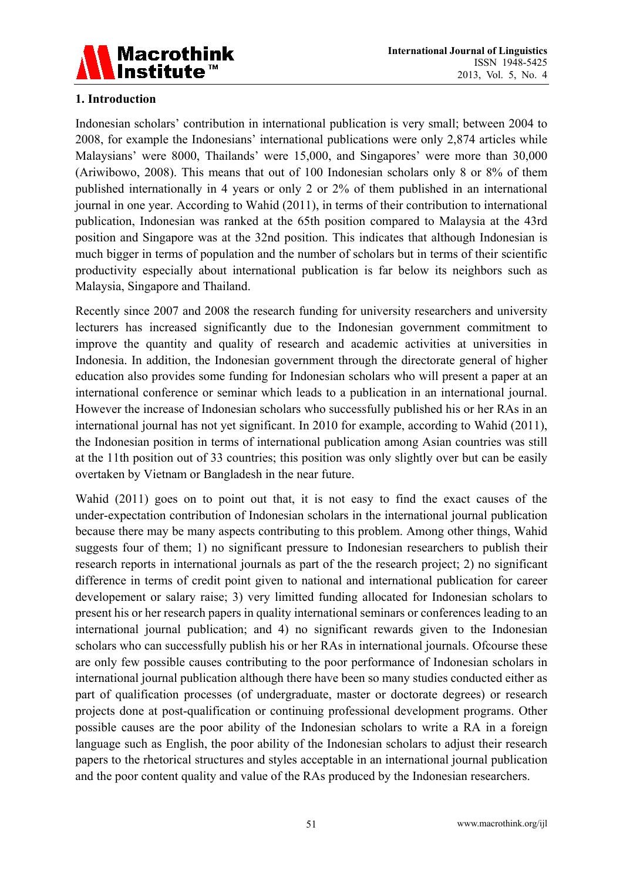

# **1. Introduction**

Indonesian scholars' contribution in international publication is very small; between 2004 to 2008, for example the Indonesians' international publications were only 2,874 articles while Malaysians' were 8000, Thailands' were 15,000, and Singapores' were more than 30,000 (Ariwibowo, 2008). This means that out of 100 Indonesian scholars only 8 or 8% of them published internationally in 4 years or only 2 or 2% of them published in an international journal in one year. According to Wahid (2011), in terms of their contribution to international publication, Indonesian was ranked at the 65th position compared to Malaysia at the 43rd position and Singapore was at the 32nd position. This indicates that although Indonesian is much bigger in terms of population and the number of scholars but in terms of their scientific productivity especially about international publication is far below its neighbors such as Malaysia, Singapore and Thailand.

Recently since 2007 and 2008 the research funding for university researchers and university lecturers has increased significantly due to the Indonesian government commitment to improve the quantity and quality of research and academic activities at universities in Indonesia. In addition, the Indonesian government through the directorate general of higher education also provides some funding for Indonesian scholars who will present a paper at an international conference or seminar which leads to a publication in an international journal. However the increase of Indonesian scholars who successfully published his or her RAs in an international journal has not yet significant. In 2010 for example, according to Wahid (2011), the Indonesian position in terms of international publication among Asian countries was still at the 11th position out of 33 countries; this position was only slightly over but can be easily overtaken by Vietnam or Bangladesh in the near future.

Wahid (2011) goes on to point out that, it is not easy to find the exact causes of the under-expectation contribution of Indonesian scholars in the international journal publication because there may be many aspects contributing to this problem. Among other things, Wahid suggests four of them; 1) no significant pressure to Indonesian researchers to publish their research reports in international journals as part of the the research project; 2) no significant difference in terms of credit point given to national and international publication for career developement or salary raise; 3) very limitted funding allocated for Indonesian scholars to present his or her research papers in quality international seminars or conferences leading to an international journal publication; and 4) no significant rewards given to the Indonesian scholars who can successfully publish his or her RAs in international journals. Ofcourse these are only few possible causes contributing to the poor performance of Indonesian scholars in international journal publication although there have been so many studies conducted either as part of qualification processes (of undergraduate, master or doctorate degrees) or research projects done at post-qualification or continuing professional development programs. Other possible causes are the poor ability of the Indonesian scholars to write a RA in a foreign language such as English, the poor ability of the Indonesian scholars to adjust their research papers to the rhetorical structures and styles acceptable in an international journal publication and the poor content quality and value of the RAs produced by the Indonesian researchers.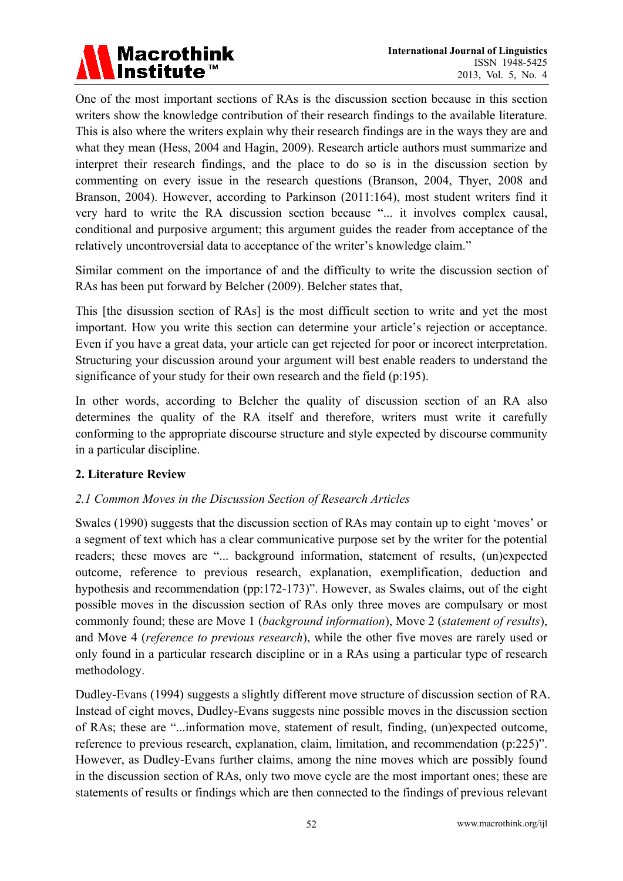

One of the most important sections of RAs is the discussion section because in this section writers show the knowledge contribution of their research findings to the available literature. This is also where the writers explain why their research findings are in the ways they are and what they mean (Hess, 2004 and Hagin, 2009). Research article authors must summarize and interpret their research findings, and the place to do so is in the discussion section by commenting on every issue in the research questions (Branson, 2004, Thyer, 2008 and Branson, 2004). However, according to Parkinson (2011:164), most student writers find it very hard to write the RA discussion section because "... it involves complex causal, conditional and purposive argument; this argument guides the reader from acceptance of the relatively uncontroversial data to acceptance of the writer's knowledge claim."

Similar comment on the importance of and the difficulty to write the discussion section of RAs has been put forward by Belcher (2009). Belcher states that,

This [the disussion section of RAs] is the most difficult section to write and yet the most important. How you write this section can determine your article's rejection or acceptance. Even if you have a great data, your article can get rejected for poor or incorect interpretation. Structuring your discussion around your argument will best enable readers to understand the significance of your study for their own research and the field (p:195).

In other words, according to Belcher the quality of discussion section of an RA also determines the quality of the RA itself and therefore, writers must write it carefully conforming to the appropriate discourse structure and style expected by discourse community in a particular discipline.

# **2. Literature Review**

# *2.1 Common Moves in the Discussion Section of Research Articles*

Swales (1990) suggests that the discussion section of RAs may contain up to eight 'moves' or a segment of text which has a clear communicative purpose set by the writer for the potential readers; these moves are "... background information, statement of results, (un)expected outcome, reference to previous research, explanation, exemplification, deduction and hypothesis and recommendation (pp:172-173)". However, as Swales claims, out of the eight possible moves in the discussion section of RAs only three moves are compulsary or most commonly found; these are Move 1 (*background information*), Move 2 (*statement of results*), and Move 4 (*reference to previous research*), while the other five moves are rarely used or only found in a particular research discipline or in a RAs using a particular type of research methodology.

Dudley-Evans (1994) suggests a slightly different move structure of discussion section of RA. Instead of eight moves, Dudley-Evans suggests nine possible moves in the discussion section of RAs; these are "...information move, statement of result, finding, (un)expected outcome, reference to previous research, explanation, claim, limitation, and recommendation (p:225)". However, as Dudley-Evans further claims, among the nine moves which are possibly found in the discussion section of RAs, only two move cycle are the most important ones; these are statements of results or findings which are then connected to the findings of previous relevant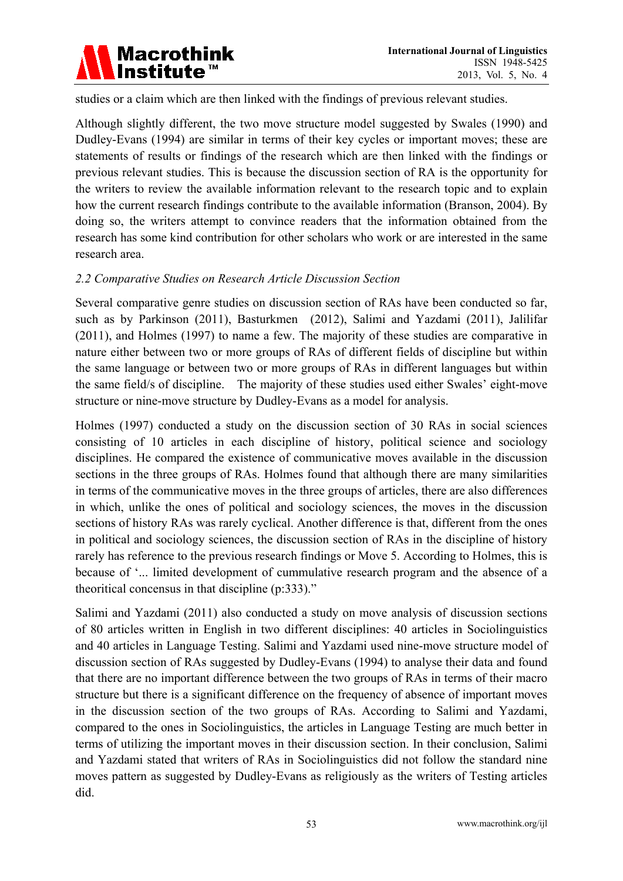

studies or a claim which are then linked with the findings of previous relevant studies.

Although slightly different, the two move structure model suggested by Swales (1990) and Dudley-Evans (1994) are similar in terms of their key cycles or important moves; these are statements of results or findings of the research which are then linked with the findings or previous relevant studies. This is because the discussion section of RA is the opportunity for the writers to review the available information relevant to the research topic and to explain how the current research findings contribute to the available information (Branson, 2004). By doing so, the writers attempt to convince readers that the information obtained from the research has some kind contribution for other scholars who work or are interested in the same research area.

#### *2.2 Comparative Studies on Research Article Discussion Section*

Several comparative genre studies on discussion section of RAs have been conducted so far, such as by Parkinson (2011), Basturkmen (2012), Salimi and Yazdami (2011), Jalilifar (2011), and Holmes (1997) to name a few. The majority of these studies are comparative in nature either between two or more groups of RAs of different fields of discipline but within the same language or between two or more groups of RAs in different languages but within the same field/s of discipline. The majority of these studies used either Swales' eight-move structure or nine-move structure by Dudley-Evans as a model for analysis.

Holmes (1997) conducted a study on the discussion section of 30 RAs in social sciences consisting of 10 articles in each discipline of history, political science and sociology disciplines. He compared the existence of communicative moves available in the discussion sections in the three groups of RAs. Holmes found that although there are many similarities in terms of the communicative moves in the three groups of articles, there are also differences in which, unlike the ones of political and sociology sciences, the moves in the discussion sections of history RAs was rarely cyclical. Another difference is that, different from the ones in political and sociology sciences, the discussion section of RAs in the discipline of history rarely has reference to the previous research findings or Move 5. According to Holmes, this is because of '... limited development of cummulative research program and the absence of a theoritical concensus in that discipline (p:333)."

Salimi and Yazdami (2011) also conducted a study on move analysis of discussion sections of 80 articles written in English in two different disciplines: 40 articles in Sociolinguistics and 40 articles in Language Testing. Salimi and Yazdami used nine-move structure model of discussion section of RAs suggested by Dudley-Evans (1994) to analyse their data and found that there are no important difference between the two groups of RAs in terms of their macro structure but there is a significant difference on the frequency of absence of important moves in the discussion section of the two groups of RAs. According to Salimi and Yazdami, compared to the ones in Sociolinguistics, the articles in Language Testing are much better in terms of utilizing the important moves in their discussion section. In their conclusion, Salimi and Yazdami stated that writers of RAs in Sociolinguistics did not follow the standard nine moves pattern as suggested by Dudley-Evans as religiously as the writers of Testing articles did.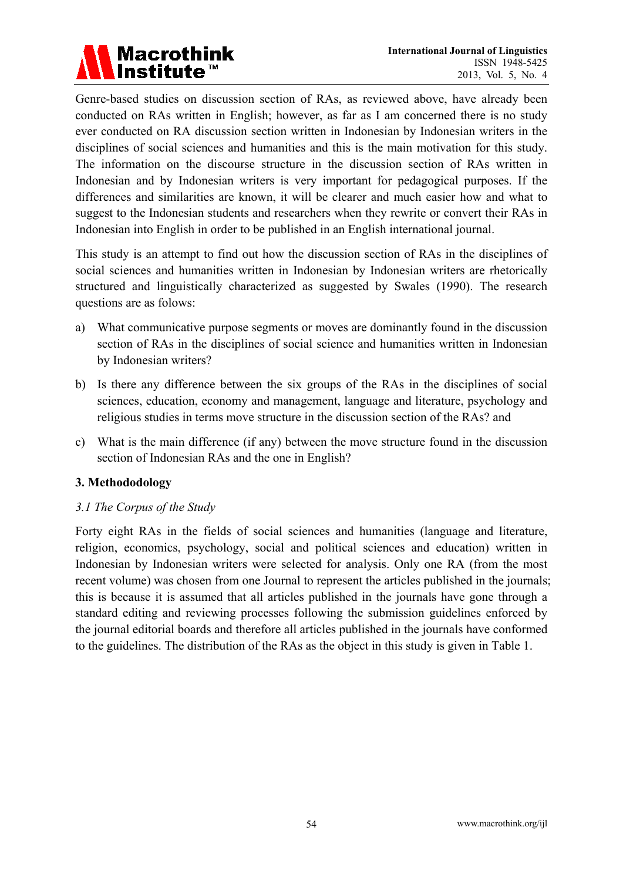

Genre-based studies on discussion section of RAs, as reviewed above, have already been conducted on RAs written in English; however, as far as I am concerned there is no study ever conducted on RA discussion section written in Indonesian by Indonesian writers in the disciplines of social sciences and humanities and this is the main motivation for this study. The information on the discourse structure in the discussion section of RAs written in Indonesian and by Indonesian writers is very important for pedagogical purposes. If the differences and similarities are known, it will be clearer and much easier how and what to suggest to the Indonesian students and researchers when they rewrite or convert their RAs in Indonesian into English in order to be published in an English international journal.

This study is an attempt to find out how the discussion section of RAs in the disciplines of social sciences and humanities written in Indonesian by Indonesian writers are rhetorically structured and linguistically characterized as suggested by Swales (1990). The research questions are as folows:

- a) What communicative purpose segments or moves are dominantly found in the discussion section of RAs in the disciplines of social science and humanities written in Indonesian by Indonesian writers?
- b) Is there any difference between the six groups of the RAs in the disciplines of social sciences, education, economy and management, language and literature, psychology and religious studies in terms move structure in the discussion section of the RAs? and
- c) What is the main difference (if any) between the move structure found in the discussion section of Indonesian RAs and the one in English?

# **3. Methododology**

# *3.1 The Corpus of the Study*

Forty eight RAs in the fields of social sciences and humanities (language and literature, religion, economics, psychology, social and political sciences and education) written in Indonesian by Indonesian writers were selected for analysis. Only one RA (from the most recent volume) was chosen from one Journal to represent the articles published in the journals; this is because it is assumed that all articles published in the journals have gone through a standard editing and reviewing processes following the submission guidelines enforced by the journal editorial boards and therefore all articles published in the journals have conformed to the guidelines. The distribution of the RAs as the object in this study is given in Table 1.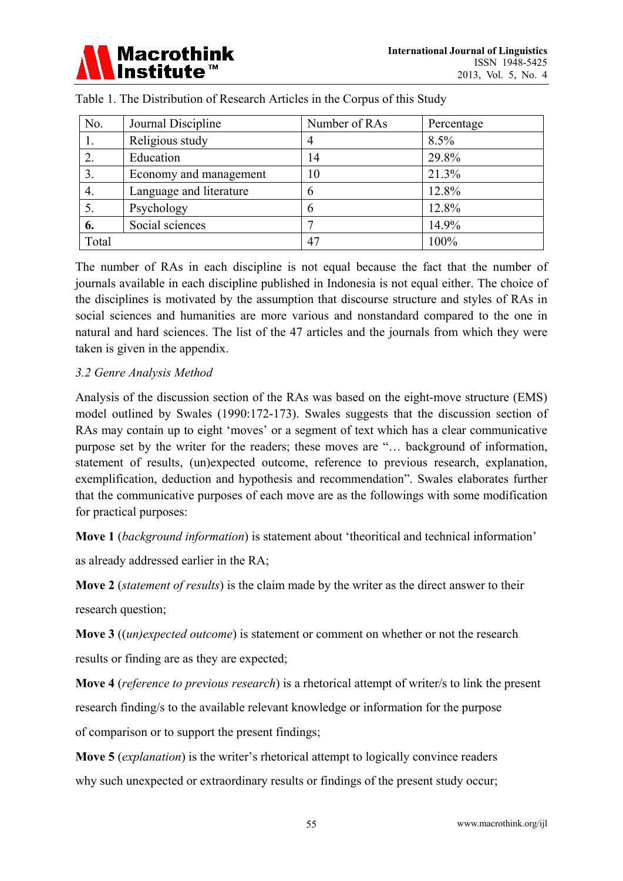

| No.   | Journal Discipline      | Number of RAs | Percentage |
|-------|-------------------------|---------------|------------|
|       | Religious study         | 4             | 8.5%       |
| 2.    | Education               | 14            | 29.8%      |
|       | Economy and management  | 10            | 21.3%      |
| 4.    | Language and literature | 6             | 12.8%      |
|       | Psychology              | h             | 12.8%      |
| 6.    | Social sciences         |               | 14.9%      |
| Total |                         | 47            | 100%       |

Table 1. The Distribution of Research Articles in the Corpus of this Study

The number of RAs in each discipline is not equal because the fact that the number of journals available in each discipline published in Indonesia is not equal either. The choice of the disciplines is motivated by the assumption that discourse structure and styles of RAs in social sciences and humanities are more various and nonstandard compared to the one in natural and hard sciences. The list of the 47 articles and the journals from which they were taken is given in the appendix.

# *3.2 Genre Analysis Method*

Analysis of the discussion section of the RAs was based on the eight-move structure (EMS) model outlined by Swales (1990:172-173). Swales suggests that the discussion section of RAs may contain up to eight 'moves' or a segment of text which has a clear communicative purpose set by the writer for the readers; these moves are "… background of information, statement of results, (un)expected outcome, reference to previous research, explanation, exemplification, deduction and hypothesis and recommendation". Swales elaborates further that the communicative purposes of each move are as the followings with some modification for practical purposes:

**Move 1** (*background information*) is statement about 'theoritical and technical information'

as already addressed earlier in the RA;

**Move 2** (*statement of results*) is the claim made by the writer as the direct answer to their

research question;

**Move 3** ((*un)expected outcome*) is statement or comment on whether or not the research

results or finding are as they are expected;

**Move 4** (*reference to previous research*) is a rhetorical attempt of writer/s to link the present

research finding/s to the available relevant knowledge or information for the purpose

of comparison or to support the present findings;

**Move 5** (*explanation*) is the writer's rhetorical attempt to logically convince readers why such unexpected or extraordinary results or findings of the present study occur;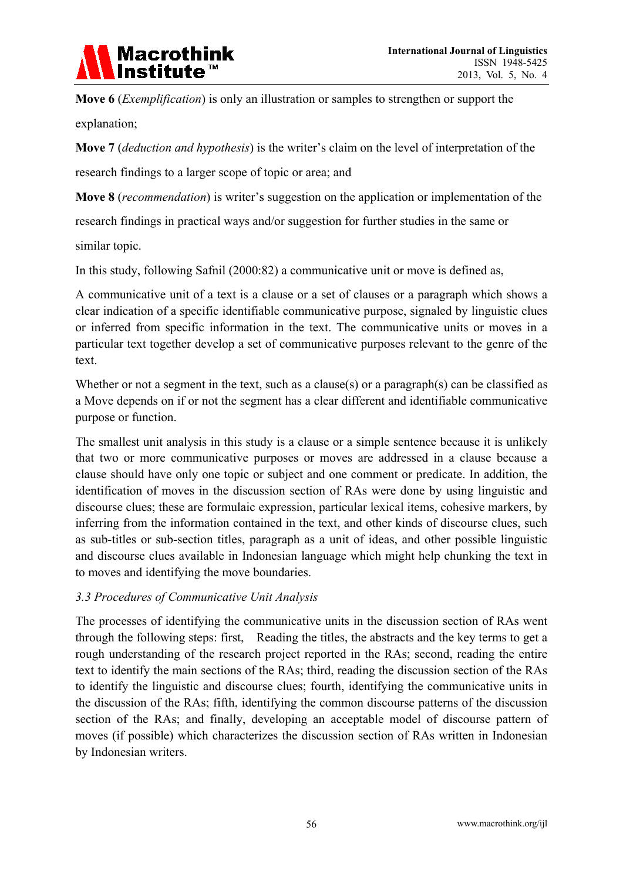

**Move 6** (*Exemplification*) is only an illustration or samples to strengthen or support the explanation;

**Move 7** (*deduction and hypothesis*) is the writer's claim on the level of interpretation of the

research findings to a larger scope of topic or area; and

**Move 8** (*recommendation*) is writer's suggestion on the application or implementation of the

research findings in practical ways and/or suggestion for further studies in the same or

similar topic.

In this study, following Safnil (2000:82) a communicative unit or move is defined as,

A communicative unit of a text is a clause or a set of clauses or a paragraph which shows a clear indication of a specific identifiable communicative purpose, signaled by linguistic clues or inferred from specific information in the text. The communicative units or moves in a particular text together develop a set of communicative purposes relevant to the genre of the text.

Whether or not a segment in the text, such as a clause(s) or a paragraph(s) can be classified as a Move depends on if or not the segment has a clear different and identifiable communicative purpose or function.

The smallest unit analysis in this study is a clause or a simple sentence because it is unlikely that two or more communicative purposes or moves are addressed in a clause because a clause should have only one topic or subject and one comment or predicate. In addition, the identification of moves in the discussion section of RAs were done by using linguistic and discourse clues; these are formulaic expression, particular lexical items, cohesive markers, by inferring from the information contained in the text, and other kinds of discourse clues, such as sub-titles or sub-section titles, paragraph as a unit of ideas, and other possible linguistic and discourse clues available in Indonesian language which might help chunking the text in to moves and identifying the move boundaries.

# *3.3 Procedures of Communicative Unit Analysis*

The processes of identifying the communicative units in the discussion section of RAs went through the following steps: first, Reading the titles, the abstracts and the key terms to get a rough understanding of the research project reported in the RAs; second, reading the entire text to identify the main sections of the RAs; third, reading the discussion section of the RAs to identify the linguistic and discourse clues; fourth, identifying the communicative units in the discussion of the RAs; fifth, identifying the common discourse patterns of the discussion section of the RAs; and finally, developing an acceptable model of discourse pattern of moves (if possible) which characterizes the discussion section of RAs written in Indonesian by Indonesian writers.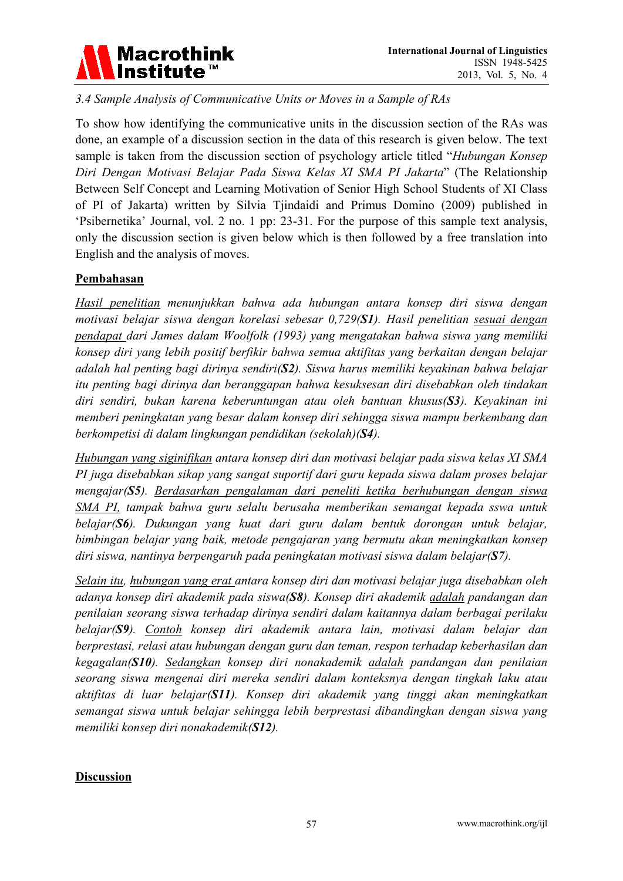

*3.4 Sample Analysis of Communicative Units or Moves in a Sample of RAs* 

To show how identifying the communicative units in the discussion section of the RAs was done, an example of a discussion section in the data of this research is given below. The text sample is taken from the discussion section of psychology article titled "*Hubungan Konsep Diri Dengan Motivasi Belajar Pada Siswa Kelas XI SMA PI Jakarta*" (The Relationship Between Self Concept and Learning Motivation of Senior High School Students of XI Class of PI of Jakarta) written by Silvia Tjindaidi and Primus Domino (2009) published in 'Psibernetika' Journal, vol. 2 no. 1 pp: 23-31. For the purpose of this sample text analysis, only the discussion section is given below which is then followed by a free translation into English and the analysis of moves.

# **Pembahasan**

*Hasil penelitian menunjukkan bahwa ada hubungan antara konsep diri siswa dengan motivasi belajar siswa dengan korelasi sebesar 0,729(S1). Hasil penelitian sesuai dengan pendapat dari James dalam Woolfolk (1993) yang mengatakan bahwa siswa yang memiliki konsep diri yang lebih positif berfikir bahwa semua aktifitas yang berkaitan dengan belajar adalah hal penting bagi dirinya sendiri(S2). Siswa harus memiliki keyakinan bahwa belajar itu penting bagi dirinya dan beranggapan bahwa kesuksesan diri disebabkan oleh tindakan diri sendiri, bukan karena keberuntungan atau oleh bantuan khusus(S3). Keyakinan ini memberi peningkatan yang besar dalam konsep diri sehingga siswa mampu berkembang dan berkompetisi di dalam lingkungan pendidikan (sekolah)(S4).* 

*Hubungan yang siginifikan antara konsep diri dan motivasi belajar pada siswa kelas XI SMA PI juga disebabkan sikap yang sangat suportif dari guru kepada siswa dalam proses belajar mengajar(S5). Berdasarkan pengalaman dari peneliti ketika berhubungan dengan siswa SMA PI, tampak bahwa guru selalu berusaha memberikan semangat kepada sswa untuk belajar(S6). Dukungan yang kuat dari guru dalam bentuk dorongan untuk belajar, bimbingan belajar yang baik, metode pengajaran yang bermutu akan meningkatkan konsep diri siswa, nantinya berpengaruh pada peningkatan motivasi siswa dalam belajar(S7).* 

*Selain itu, hubungan yang erat antara konsep diri dan motivasi belajar juga disebabkan oleh adanya konsep diri akademik pada siswa(S8). Konsep diri akademik adalah pandangan dan penilaian seorang siswa terhadap dirinya sendiri dalam kaitannya dalam berbagai perilaku belajar(S9). Contoh konsep diri akademik antara lain, motivasi dalam belajar dan berprestasi, relasi atau hubungan dengan guru dan teman, respon terhadap keberhasilan dan kegagalan(S10). Sedangkan konsep diri nonakademik adalah pandangan dan penilaian seorang siswa mengenai diri mereka sendiri dalam konteksnya dengan tingkah laku atau aktifitas di luar belajar(S11). Konsep diri akademik yang tinggi akan meningkatkan semangat siswa untuk belajar sehingga lebih berprestasi dibandingkan dengan siswa yang memiliki konsep diri nonakademik(S12).* 

# **Discussion**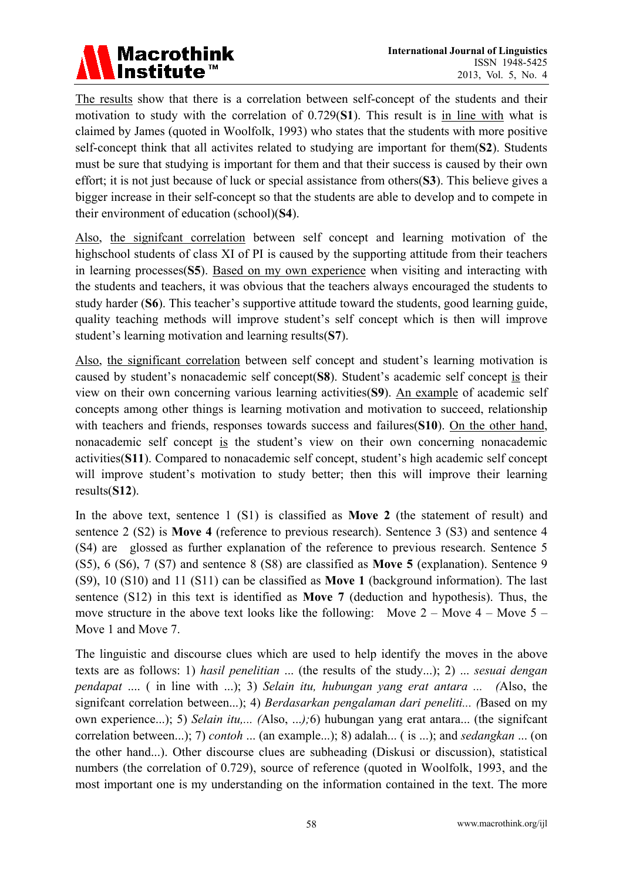

The results show that there is a correlation between self-concept of the students and their motivation to study with the correlation of 0.729(**S1**). This result is in line with what is claimed by James (quoted in Woolfolk, 1993) who states that the students with more positive self-concept think that all activites related to studying are important for them(**S2**). Students must be sure that studying is important for them and that their success is caused by their own effort; it is not just because of luck or special assistance from others(**S3**). This believe gives a bigger increase in their self-concept so that the students are able to develop and to compete in their environment of education (school)(**S4**).

Also, the signifcant correlation between self concept and learning motivation of the highschool students of class XI of PI is caused by the supporting attitude from their teachers in learning processes(**S5**). Based on my own experience when visiting and interacting with the students and teachers, it was obvious that the teachers always encouraged the students to study harder (**S6**). This teacher's supportive attitude toward the students, good learning guide, quality teaching methods will improve student's self concept which is then will improve student's learning motivation and learning results(**S7**).

Also, the significant correlation between self concept and student's learning motivation is caused by student's nonacademic self concept(**S8**). Student's academic self concept is their view on their own concerning various learning activities(**S9**). An example of academic self concepts among other things is learning motivation and motivation to succeed, relationship with teachers and friends, responses towards success and failures(**S10**). On the other hand, nonacademic self concept is the student's view on their own concerning nonacademic activities(**S11**). Compared to nonacademic self concept, student's high academic self concept will improve student's motivation to study better; then this will improve their learning results(**S12**).

In the above text, sentence 1 (S1) is classified as **Move 2** (the statement of result) and sentence 2 (S2) is **Move 4** (reference to previous research). Sentence 3 (S3) and sentence 4 (S4) are glossed as further explanation of the reference to previous research. Sentence 5 (S5), 6 (S6), 7 (S7) and sentence 8 (S8) are classified as **Move 5** (explanation). Sentence 9 (S9), 10 (S10) and 11 (S11) can be classified as **Move 1** (background information). The last sentence (S12) in this text is identified as **Move 7** (deduction and hypothesis). Thus, the move structure in the above text looks like the following: Move  $2 -$  Move  $4 -$  Move  $5 -$ Move 1 and Move 7.

The linguistic and discourse clues which are used to help identify the moves in the above texts are as follows: 1) *hasil penelitian* ... (the results of the study...); 2) ... *sesuai dengan pendapat* .... ( in line with ...); 3) *Selain itu, hubungan yang erat antara ... (*Also, the signifcant correlation between...); 4) *Berdasarkan pengalaman dari peneliti... (*Based on my own experience...); 5) *Selain itu,... (*Also, ...*);*6) hubungan yang erat antara... (the signifcant correlation between...); 7) *contoh* ... (an example...); 8) adalah... ( is ...); and *sedangkan* ... (on the other hand...). Other discourse clues are subheading (Diskusi or discussion), statistical numbers (the correlation of 0.729), source of reference (quoted in Woolfolk, 1993, and the most important one is my understanding on the information contained in the text. The more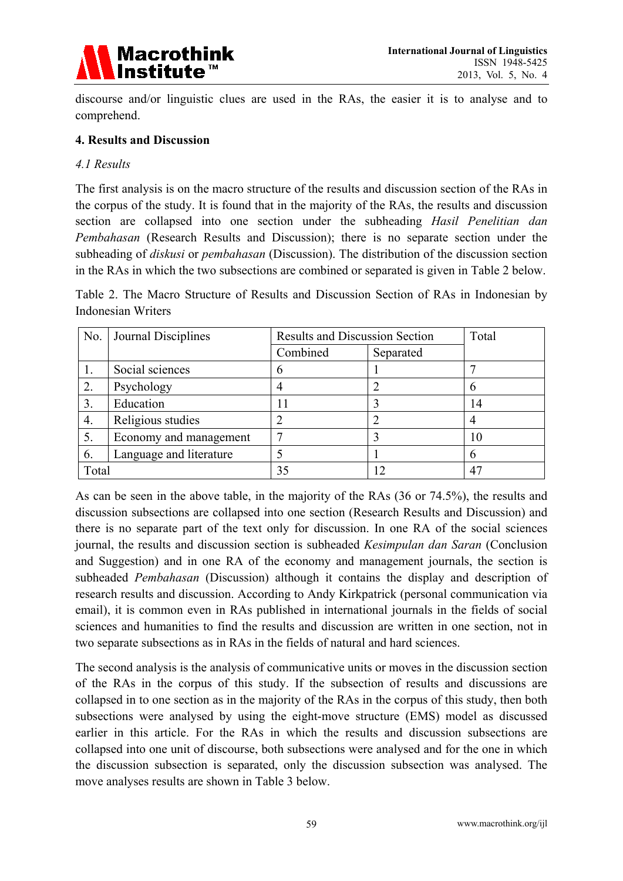

discourse and/or linguistic clues are used in the RAs, the easier it is to analyse and to comprehend.

#### **4. Results and Discussion**

#### *4.1 Results*

The first analysis is on the macro structure of the results and discussion section of the RAs in the corpus of the study. It is found that in the majority of the RAs, the results and discussion section are collapsed into one section under the subheading *Hasil Penelitian dan Pembahasan* (Research Results and Discussion); there is no separate section under the subheading of *diskusi* or *pembahasan* (Discussion). The distribution of the discussion section in the RAs in which the two subsections are combined or separated is given in Table 2 below.

Table 2. The Macro Structure of Results and Discussion Section of RAs in Indonesian by Indonesian Writers

| No.   | Journal Disciplines     | <b>Results and Discussion Section</b> |           | Total |
|-------|-------------------------|---------------------------------------|-----------|-------|
|       |                         | Combined                              | Separated |       |
|       | Social sciences         | 6                                     |           |       |
|       | Psychology              | 4                                     |           |       |
| 3.    | Education               |                                       |           | 14    |
| 4.    | Religious studies       |                                       |           |       |
| 5.    | Economy and management  |                                       |           | 10    |
| 6.    | Language and literature | 5                                     |           |       |
| Total |                         | 35                                    | 12        | 47    |

As can be seen in the above table, in the majority of the RAs (36 or 74.5%), the results and discussion subsections are collapsed into one section (Research Results and Discussion) and there is no separate part of the text only for discussion. In one RA of the social sciences journal, the results and discussion section is subheaded *Kesimpulan dan Saran* (Conclusion and Suggestion) and in one RA of the economy and management journals, the section is subheaded *Pembahasan* (Discussion) although it contains the display and description of research results and discussion. According to Andy Kirkpatrick (personal communication via email), it is common even in RAs published in international journals in the fields of social sciences and humanities to find the results and discussion are written in one section, not in two separate subsections as in RAs in the fields of natural and hard sciences.

The second analysis is the analysis of communicative units or moves in the discussion section of the RAs in the corpus of this study. If the subsection of results and discussions are collapsed in to one section as in the majority of the RAs in the corpus of this study, then both subsections were analysed by using the eight-move structure (EMS) model as discussed earlier in this article. For the RAs in which the results and discussion subsections are collapsed into one unit of discourse, both subsections were analysed and for the one in which the discussion subsection is separated, only the discussion subsection was analysed. The move analyses results are shown in Table 3 below.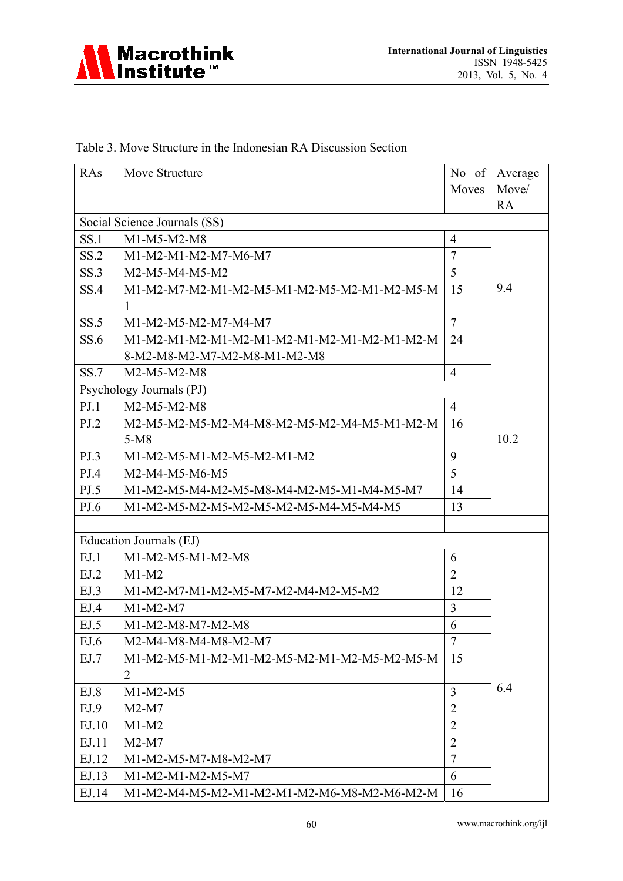

| Table 3. Move Structure in the Indonesian RA Discussion Section |  |  |  |
|-----------------------------------------------------------------|--|--|--|
|-----------------------------------------------------------------|--|--|--|

| RAs              | Move Structure                              | No of $\vert$  | Average   |
|------------------|---------------------------------------------|----------------|-----------|
|                  |                                             | Moves          | Move/     |
|                  |                                             |                | <b>RA</b> |
|                  | Social Science Journals (SS)                |                |           |
| SS.1             | M1-M5-M2-M8                                 | $\overline{4}$ |           |
| SS.2             | M1-M2-M1-M2-M7-M6-M7                        | $\overline{7}$ |           |
| SS.3             | M2-M5-M4-M5-M2                              | 5              |           |
| SS.4             | M1-M2-M7-M2-M1-M2-M5-M1-M2-M5-M2-M1-M2-M5-M | 15             | 9.4       |
|                  | 1                                           |                |           |
| SS.5             | M1-M2-M5-M2-M7-M4-M7                        | $\overline{7}$ |           |
| SS.6             | M1-M2-M1-M2-M1-M2-M1-M2-M1-M2-M1-M2-M1-M2-M | 24             |           |
|                  | 8-M2-M8-M2-M7-M2-M8-M1-M2-M8                |                |           |
| SS.7             | M2-M5-M2-M8                                 | $\overline{4}$ |           |
|                  | Psychology Journals (PJ)                    |                |           |
| PJ.1             | M2-M5-M2-M8                                 | $\overline{4}$ |           |
| PJ.2             | M2-M5-M2-M5-M2-M4-M8-M2-M5-M2-M4-M5-M1-M2-M | 16             |           |
|                  | $5-M8$                                      |                | 10.2      |
| PJ.3             | M1-M2-M5-M1-M2-M5-M2-M1-M2                  | 9              |           |
| PJ.4             | M2-M4-M5-M6-M5                              | 5              |           |
| P <sub>J.5</sub> | M1-M2-M5-M4-M2-M5-M8-M4-M2-M5-M1-M4-M5-M7   | 14             |           |
| P <sub>J.6</sub> | M1-M2-M5-M2-M5-M2-M5-M2-M5-M4-M5-M4-M5      | 13             |           |
|                  |                                             |                |           |
|                  | Education Journals (EJ)                     |                |           |
| EJ.1             | M1-M2-M5-M1-M2-M8                           | 6              |           |
| EJ.2             | $M1-M2$                                     | $\overline{2}$ |           |
| EJ.3             | M1-M2-M7-M1-M2-M5-M7-M2-M4-M2-M5-M2         | 12             |           |
| EJ.4             | $M1-M2-M7$                                  | 3              |           |
| EJ.5             | M1-M2-M8-M7-M2-M8                           | 6              |           |
| EJ.6             | M2-M4-M8-M4-M8-M2-M7                        | 7              |           |
| EJ.7             | M1-M2-M5-M1-M2-M1-M2-M5-M2-M1-M2-M5-M2-M5-M | 15             |           |
|                  | $\overline{2}$                              |                |           |
| EJ.8             | $M1-M2-M5$                                  | 3              | 6.4       |
| EJ.9             | $M2-M7$                                     | $\overline{2}$ |           |
| EJ.10            | $M1-M2$                                     | $\overline{2}$ |           |
| EJ.11            | $M2-M7$                                     | $\overline{2}$ |           |
| EJ.12            | M1-M2-M5-M7-M8-M2-M7                        | $\tau$         |           |
| EJ.13            | M1-M2-M1-M2-M5-M7                           | 6              |           |
| EJ.14            | M1-M2-M4-M5-M2-M1-M2-M1-M2-M6-M8-M2-M6-M2-M | 16             |           |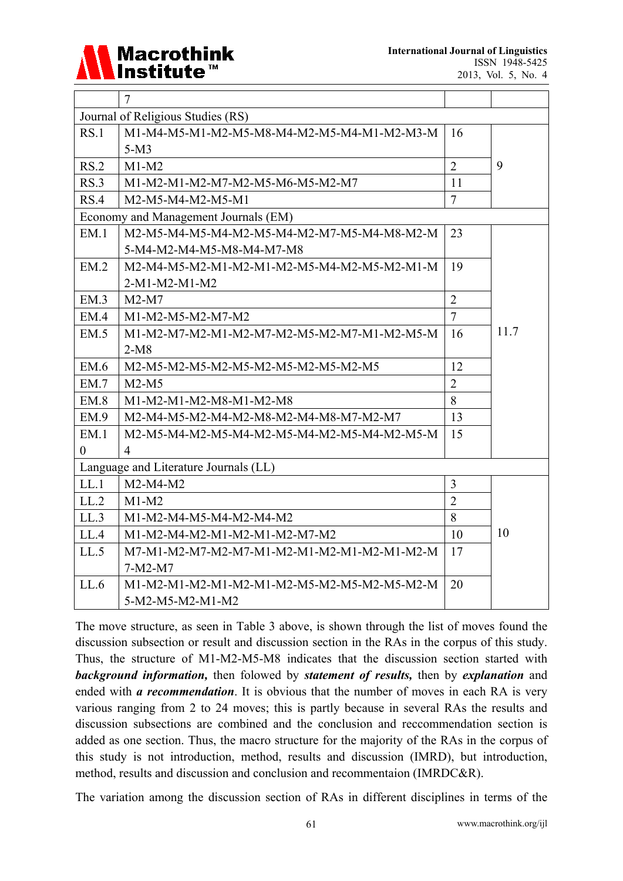|                  | $\tau$                                      |                |      |
|------------------|---------------------------------------------|----------------|------|
|                  | Journal of Religious Studies (RS)           |                |      |
| RS.1             | M1-M4-M5-M1-M2-M5-M8-M4-M2-M5-M4-M1-M2-M3-M | 16             |      |
|                  | $5-M3$                                      |                |      |
| RS.2             | $M1-M2$                                     | $\overline{2}$ | 9    |
| RS.3             | M1-M2-M1-M2-M7-M2-M5-M6-M5-M2-M7            | 11             |      |
| RS.4             | M2-M5-M4-M2-M5-M1                           | $\overline{7}$ |      |
|                  | Economy and Management Journals (EM)        |                |      |
| EM.1             | M2-M5-M4-M5-M4-M2-M5-M4-M2-M7-M5-M4-M8-M2-M | 23             |      |
|                  | 5-M4-M2-M4-M5-M8-M4-M7-M8                   |                |      |
| EM.2             | M2-M4-M5-M2-M1-M2-M1-M2-M5-M4-M2-M5-M2-M1-M | 19             |      |
|                  | 2-M1-M2-M1-M2                               |                |      |
| EM.3             | $M2-M7$                                     | $\overline{2}$ |      |
| EM.4             | M1-M2-M5-M2-M7-M2                           | $\overline{7}$ |      |
| EM.5             | M1-M2-M7-M2-M1-M2-M7-M2-M5-M2-M7-M1-M2-M5-M | 16             | 11.7 |
|                  | $2-M8$                                      |                |      |
| EM.6             | M2-M5-M2-M5-M2-M5-M2-M5-M2-M5-M2-M5         | 12             |      |
| EM.7             | $M2-M5$                                     | $\overline{2}$ |      |
| EM.8             | M1-M2-M1-M2-M8-M1-M2-M8                     | 8              |      |
| EM.9             | M2-M4-M5-M2-M4-M2-M8-M2-M4-M8-M7-M2-M7      | 13             |      |
| EM.1             | M2-M5-M4-M2-M5-M4-M2-M5-M4-M2-M5-M4-M2-M5-M | 15             |      |
| $\boldsymbol{0}$ | $\overline{4}$                              |                |      |
|                  | Language and Literature Journals (LL)       |                |      |
| LL.1             | $M2-M4-M2$                                  | $\overline{3}$ |      |
| LL.2             | $M1-M2$                                     | $\overline{2}$ |      |
| LL.3             | M1-M2-M4-M5-M4-M2-M4-M2                     | 8              |      |
| LL.4             | M1-M2-M4-M2-M1-M2-M1-M2-M7-M2               | 10             | 10   |
| LL.5             | M7-M1-M2-M7-M2-M7-M1-M2-M1-M2-M1-M2-M1-M2-M | 17             |      |
|                  | $7-M2-M7$                                   |                |      |
| LL.6             | M1-M2-M1-M2-M1-M2-M1-M2-M5-M2-M5-M2-M5-M2-M | 20             |      |
|                  | 5-M2-M5-M2-M1-M2                            |                |      |

The move structure, as seen in Table 3 above, is shown through the list of moves found the discussion subsection or result and discussion section in the RAs in the corpus of this study. Thus, the structure of M1-M2-M5-M8 indicates that the discussion section started with *background information,* then folowed by *statement of results,* then by *explanation* and ended with *a recommendation*. It is obvious that the number of moves in each RA is very various ranging from 2 to 24 moves; this is partly because in several RAs the results and discussion subsections are combined and the conclusion and reccommendation section is added as one section. Thus, the macro structure for the majority of the RAs in the corpus of this study is not introduction, method, results and discussion (IMRD), but introduction, method, results and discussion and conclusion and recommentaion (IMRDC&R).

The variation among the discussion section of RAs in different disciplines in terms of the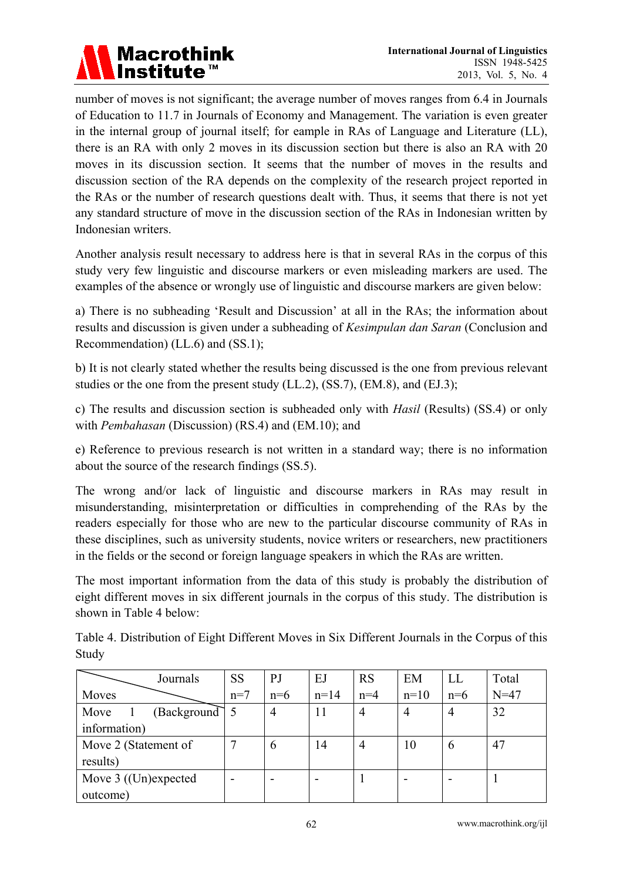

number of moves is not significant; the average number of moves ranges from 6.4 in Journals of Education to 11.7 in Journals of Economy and Management. The variation is even greater in the internal group of journal itself; for eample in RAs of Language and Literature (LL), there is an RA with only 2 moves in its discussion section but there is also an RA with 20 moves in its discussion section. It seems that the number of moves in the results and discussion section of the RA depends on the complexity of the research project reported in the RAs or the number of research questions dealt with. Thus, it seems that there is not yet any standard structure of move in the discussion section of the RAs in Indonesian written by Indonesian writers.

Another analysis result necessary to address here is that in several RAs in the corpus of this study very few linguistic and discourse markers or even misleading markers are used. The examples of the absence or wrongly use of linguistic and discourse markers are given below:

a) There is no subheading 'Result and Discussion' at all in the RAs; the information about results and discussion is given under a subheading of *Kesimpulan dan Saran* (Conclusion and Recommendation) (LL.6) and (SS.1);

b) It is not clearly stated whether the results being discussed is the one from previous relevant studies or the one from the present study (LL.2), (SS.7), (EM.8), and (EJ.3);

c) The results and discussion section is subheaded only with *Hasil* (Results) (SS.4) or only with *Pembahasan* (Discussion) (RS.4) and (EM.10); and

e) Reference to previous research is not written in a standard way; there is no information about the source of the research findings (SS.5).

The wrong and/or lack of linguistic and discourse markers in RAs may result in misunderstanding, misinterpretation or difficulties in comprehending of the RAs by the readers especially for those who are new to the particular discourse community of RAs in these disciplines, such as university students, novice writers or researchers, new practitioners in the fields or the second or foreign language speakers in which the RAs are written.

The most important information from the data of this study is probably the distribution of eight different moves in six different journals in the corpus of this study. The distribution is shown in Table 4 below:

|                        | Journals      | <b>SS</b> | PJ             | EJ     | <b>RS</b>      | EM     | LL             | Total  |
|------------------------|---------------|-----------|----------------|--------|----------------|--------|----------------|--------|
| Moves                  |               | $n=7$     | $n=6$          | $n=14$ | $n=4$          | $n=10$ | $n=6$          | $N=47$ |
| Move                   | (Background 1 |           | $\overline{4}$ | 11     | $\overline{4}$ | 4      | $\overline{4}$ | 32     |
| information)           |               |           |                |        |                |        |                |        |
| Move 2 (Statement of   |               |           | 6              | 14     | 4              | 10     | 6              | 47     |
| results)               |               |           |                |        |                |        |                |        |
| Move $3$ ((Un)expected |               |           |                |        |                |        |                |        |
| outcome)               |               |           |                |        |                |        |                |        |

Table 4. Distribution of Eight Different Moves in Six Different Journals in the Corpus of this Study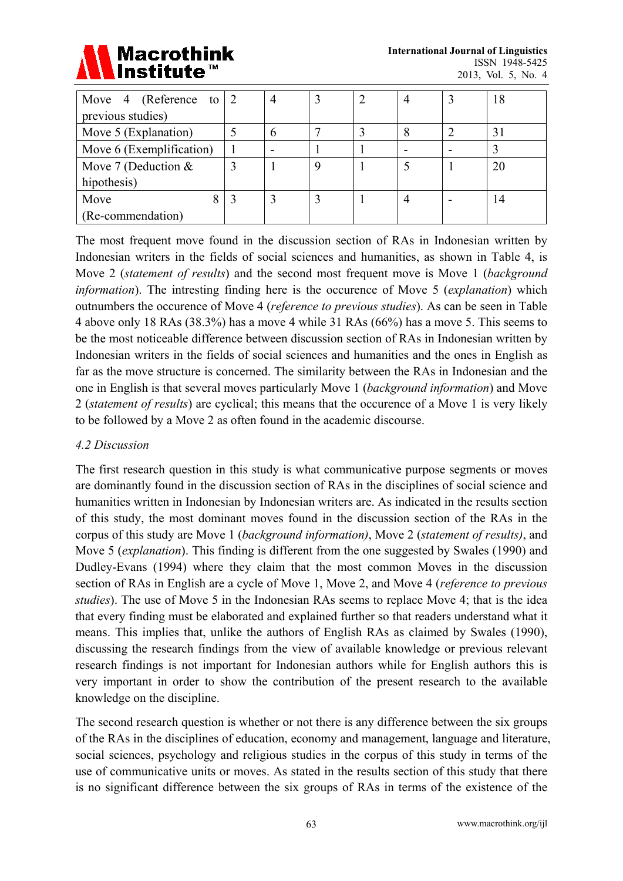

| Move 4 (Reference to     | 4 |  | 4 | 18 |
|--------------------------|---|--|---|----|
| previous studies)        |   |  |   |    |
| Move 5 (Explanation)     | 6 |  | 8 | 31 |
| Move 6 (Exemplification) |   |  |   |    |
| Move 7 (Deduction $&$    |   |  |   | 20 |
| hipothesis)              |   |  |   |    |
| Move                     |   |  | 4 |    |
| (Re-commendation)        |   |  |   |    |

The most frequent move found in the discussion section of RAs in Indonesian written by Indonesian writers in the fields of social sciences and humanities, as shown in Table 4, is Move 2 (*statement of results*) and the second most frequent move is Move 1 (*background information*). The intresting finding here is the occurence of Move 5 (*explanation*) which outnumbers the occurence of Move 4 (*reference to previous studies*). As can be seen in Table 4 above only 18 RAs (38.3%) has a move 4 while 31 RAs (66%) has a move 5. This seems to be the most noticeable difference between discussion section of RAs in Indonesian written by Indonesian writers in the fields of social sciences and humanities and the ones in English as far as the move structure is concerned. The similarity between the RAs in Indonesian and the one in English is that several moves particularly Move 1 (*background information*) and Move 2 (*statement of results*) are cyclical; this means that the occurence of a Move 1 is very likely to be followed by a Move 2 as often found in the academic discourse.

#### *4.2 Discussion*

The first research question in this study is what communicative purpose segments or moves are dominantly found in the discussion section of RAs in the disciplines of social science and humanities written in Indonesian by Indonesian writers are. As indicated in the results section of this study, the most dominant moves found in the discussion section of the RAs in the corpus of this study are Move 1 (*background information)*, Move 2 (*statement of results)*, and Move 5 (*explanation*). This finding is different from the one suggested by Swales (1990) and Dudley-Evans (1994) where they claim that the most common Moves in the discussion section of RAs in English are a cycle of Move 1, Move 2, and Move 4 (*reference to previous studies*). The use of Move 5 in the Indonesian RAs seems to replace Move 4; that is the idea that every finding must be elaborated and explained further so that readers understand what it means. This implies that, unlike the authors of English RAs as claimed by Swales (1990), discussing the research findings from the view of available knowledge or previous relevant research findings is not important for Indonesian authors while for English authors this is very important in order to show the contribution of the present research to the available knowledge on the discipline.

The second research question is whether or not there is any difference between the six groups of the RAs in the disciplines of education, economy and management, language and literature, social sciences, psychology and religious studies in the corpus of this study in terms of the use of communicative units or moves. As stated in the results section of this study that there is no significant difference between the six groups of RAs in terms of the existence of the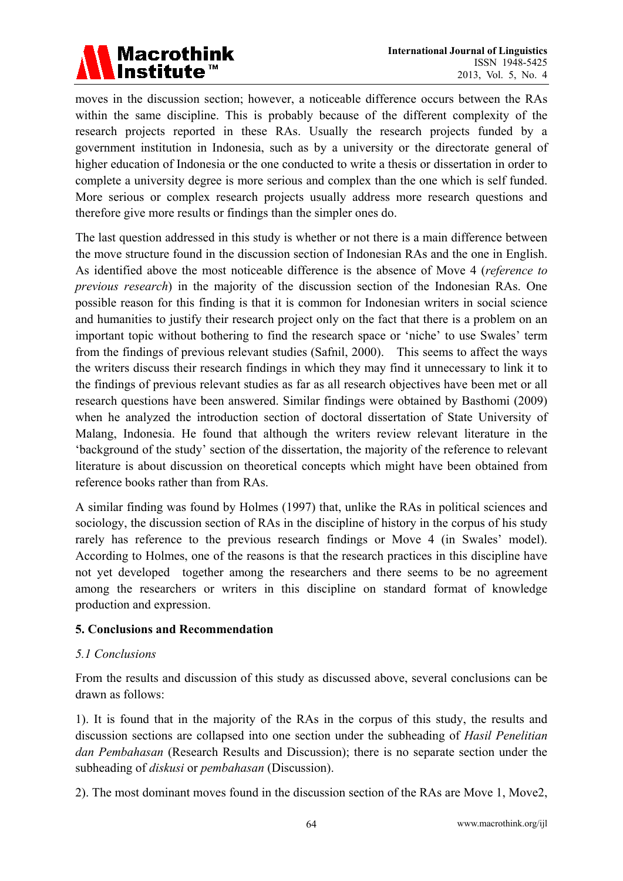

moves in the discussion section; however, a noticeable difference occurs between the RAs within the same discipline. This is probably because of the different complexity of the research projects reported in these RAs. Usually the research projects funded by a government institution in Indonesia, such as by a university or the directorate general of higher education of Indonesia or the one conducted to write a thesis or dissertation in order to complete a university degree is more serious and complex than the one which is self funded. More serious or complex research projects usually address more research questions and therefore give more results or findings than the simpler ones do.

The last question addressed in this study is whether or not there is a main difference between the move structure found in the discussion section of Indonesian RAs and the one in English. As identified above the most noticeable difference is the absence of Move 4 (*reference to previous research*) in the majority of the discussion section of the Indonesian RAs. One possible reason for this finding is that it is common for Indonesian writers in social science and humanities to justify their research project only on the fact that there is a problem on an important topic without bothering to find the research space or 'niche' to use Swales' term from the findings of previous relevant studies (Safnil, 2000). This seems to affect the ways the writers discuss their research findings in which they may find it unnecessary to link it to the findings of previous relevant studies as far as all research objectives have been met or all research questions have been answered. Similar findings were obtained by Basthomi (2009) when he analyzed the introduction section of doctoral dissertation of State University of Malang, Indonesia. He found that although the writers review relevant literature in the 'background of the study' section of the dissertation, the majority of the reference to relevant literature is about discussion on theoretical concepts which might have been obtained from reference books rather than from RAs.

A similar finding was found by Holmes (1997) that, unlike the RAs in political sciences and sociology, the discussion section of RAs in the discipline of history in the corpus of his study rarely has reference to the previous research findings or Move 4 (in Swales' model). According to Holmes, one of the reasons is that the research practices in this discipline have not yet developed together among the researchers and there seems to be no agreement among the researchers or writers in this discipline on standard format of knowledge production and expression.

# **5. Conclusions and Recommendation**

# *5.1 Conclusions*

From the results and discussion of this study as discussed above, several conclusions can be drawn as follows:

1). It is found that in the majority of the RAs in the corpus of this study, the results and discussion sections are collapsed into one section under the subheading of *Hasil Penelitian dan Pembahasan* (Research Results and Discussion); there is no separate section under the subheading of *diskusi* or *pembahasan* (Discussion).

2). The most dominant moves found in the discussion section of the RAs are Move 1, Move2,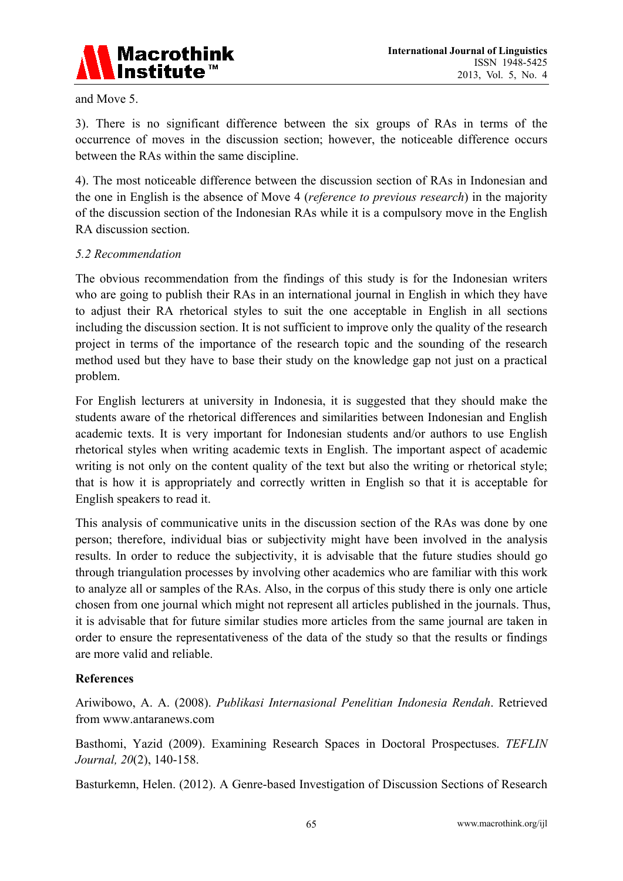

and Move 5.

3). There is no significant difference between the six groups of RAs in terms of the occurrence of moves in the discussion section; however, the noticeable difference occurs between the RAs within the same discipline.

4). The most noticeable difference between the discussion section of RAs in Indonesian and the one in English is the absence of Move 4 (*reference to previous research*) in the majority of the discussion section of the Indonesian RAs while it is a compulsory move in the English RA discussion section.

# *5.2 Recommendation*

The obvious recommendation from the findings of this study is for the Indonesian writers who are going to publish their RAs in an international journal in English in which they have to adjust their RA rhetorical styles to suit the one acceptable in English in all sections including the discussion section. It is not sufficient to improve only the quality of the research project in terms of the importance of the research topic and the sounding of the research method used but they have to base their study on the knowledge gap not just on a practical problem.

For English lecturers at university in Indonesia, it is suggested that they should make the students aware of the rhetorical differences and similarities between Indonesian and English academic texts. It is very important for Indonesian students and/or authors to use English rhetorical styles when writing academic texts in English. The important aspect of academic writing is not only on the content quality of the text but also the writing or rhetorical style; that is how it is appropriately and correctly written in English so that it is acceptable for English speakers to read it.

This analysis of communicative units in the discussion section of the RAs was done by one person; therefore, individual bias or subjectivity might have been involved in the analysis results. In order to reduce the subjectivity, it is advisable that the future studies should go through triangulation processes by involving other academics who are familiar with this work to analyze all or samples of the RAs. Also, in the corpus of this study there is only one article chosen from one journal which might not represent all articles published in the journals. Thus, it is advisable that for future similar studies more articles from the same journal are taken in order to ensure the representativeness of the data of the study so that the results or findings are more valid and reliable.

# **References**

Ariwibowo, A. A. (2008). *Publikasi Internasional Penelitian Indonesia Rendah*. Retrieved from www.antaranews.com

Basthomi, Yazid (2009). Examining Research Spaces in Doctoral Prospectuses. *TEFLIN Journal, 20*(2), 140-158.

Basturkemn, Helen. (2012). A Genre-based Investigation of Discussion Sections of Research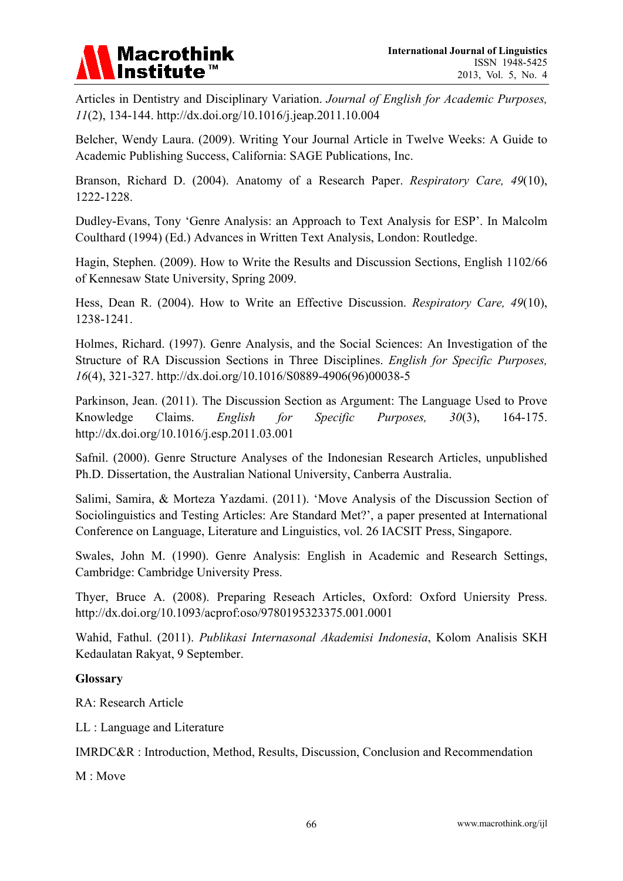

Articles in Dentistry and Disciplinary Variation. *Journal of English for Academic Purposes, 11*(2), 134-144. http://dx.doi.org/10.1016/j.jeap.2011.10.004

Belcher, Wendy Laura. (2009). Writing Your Journal Article in Twelve Weeks: A Guide to Academic Publishing Success, California: SAGE Publications, Inc.

Branson, Richard D. (2004). Anatomy of a Research Paper. *Respiratory Care, 49*(10), 1222-1228.

Dudley-Evans, Tony 'Genre Analysis: an Approach to Text Analysis for ESP'. In Malcolm Coulthard (1994) (Ed.) Advances in Written Text Analysis, London: Routledge.

Hagin, Stephen. (2009). How to Write the Results and Discussion Sections, English 1102/66 of Kennesaw State University, Spring 2009.

Hess, Dean R. (2004). How to Write an Effective Discussion. *Respiratory Care, 49*(10), 1238-1241.

Holmes, Richard. (1997). Genre Analysis, and the Social Sciences: An Investigation of the Structure of RA Discussion Sections in Three Disciplines. *English for Specific Purposes, 16*(4), 321-327. http://dx.doi.org/10.1016/S0889-4906(96)00038-5

Parkinson, Jean. (2011). The Discussion Section as Argument: The Language Used to Prove Knowledge Claims. *English for Specific Purposes, 30*(3), 164-175. http://dx.doi.org/10.1016/j.esp.2011.03.001

Safnil. (2000). Genre Structure Analyses of the Indonesian Research Articles, unpublished Ph.D. Dissertation, the Australian National University, Canberra Australia.

Salimi, Samira, & Morteza Yazdami. (2011). 'Move Analysis of the Discussion Section of Sociolinguistics and Testing Articles: Are Standard Met?', a paper presented at International Conference on Language, Literature and Linguistics, vol. 26 IACSIT Press, Singapore.

Swales, John M. (1990). Genre Analysis: English in Academic and Research Settings, Cambridge: Cambridge University Press.

Thyer, Bruce A. (2008). Preparing Reseach Articles, Oxford: Oxford Uniersity Press. http://dx.doi.org/10.1093/acprof:oso/9780195323375.001.0001

Wahid, Fathul. (2011). *Publikasi Internasonal Akademisi Indonesia*, Kolom Analisis SKH Kedaulatan Rakyat, 9 September.

# **Glossary**

RA: Research Article

LL : Language and Literature

IMRDC&R : Introduction, Method, Results, Discussion, Conclusion and Recommendation

M : Move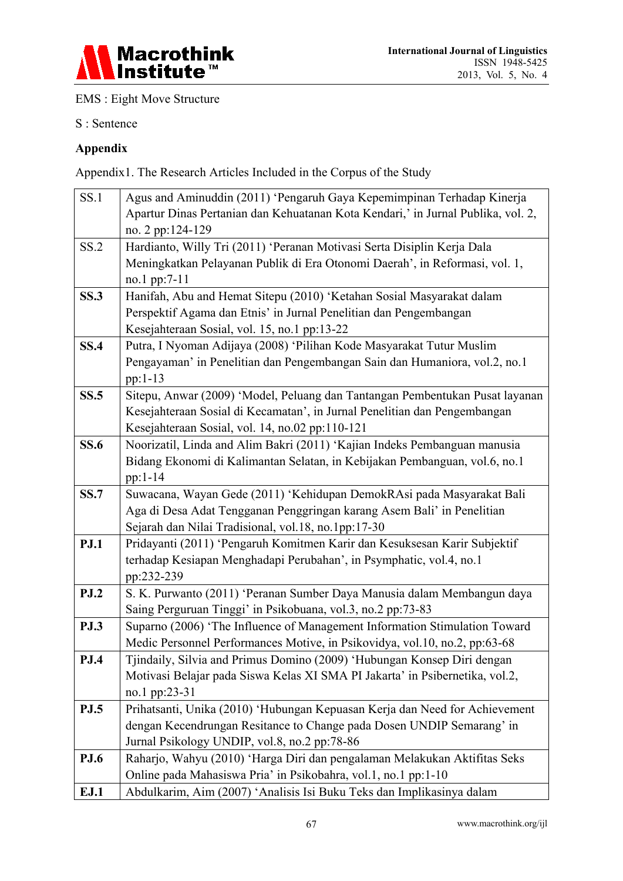

EMS : Eight Move Structure

S : Sentence

# **Appendix**

Appendix1. The Research Articles Included in the Corpus of the Study

| SS.1        | Agus and Aminuddin (2011) 'Pengaruh Gaya Kepemimpinan Terhadap Kinerja           |
|-------------|----------------------------------------------------------------------------------|
|             | Apartur Dinas Pertanian dan Kehuatanan Kota Kendari,' in Jurnal Publika, vol. 2, |
|             | no. 2 pp:124-129                                                                 |
| SS.2        | Hardianto, Willy Tri (2011) 'Peranan Motivasi Serta Disiplin Kerja Dala          |
|             | Meningkatkan Pelayanan Publik di Era Otonomi Daerah', in Reformasi, vol. 1,      |
|             | no.1 pp:7-11                                                                     |
| <b>SS.3</b> | Hanifah, Abu and Hemat Sitepu (2010) 'Ketahan Sosial Masyarakat dalam            |
|             | Perspektif Agama dan Etnis' in Jurnal Penelitian dan Pengembangan                |
|             | Kesejahteraan Sosial, vol. 15, no.1 pp:13-22                                     |
| <b>SS.4</b> | Putra, I Nyoman Adijaya (2008) 'Pilihan Kode Masyarakat Tutur Muslim             |
|             | Pengayaman' in Penelitian dan Pengembangan Sain dan Humaniora, vol.2, no.1       |
|             | pp:1-13                                                                          |
| SS.5        | Sitepu, Anwar (2009) 'Model, Peluang dan Tantangan Pembentukan Pusat layanan     |
|             | Kesejahteraan Sosial di Kecamatan', in Jurnal Penelitian dan Pengembangan        |
|             | Kesejahteraan Sosial, vol. 14, no.02 pp:110-121                                  |
| SS.6        | Noorizatil, Linda and Alim Bakri (2011) 'Kajian Indeks Pembanguan manusia        |
|             | Bidang Ekonomi di Kalimantan Selatan, in Kebijakan Pembanguan, vol.6, no.1       |
|             | pp:1-14                                                                          |
| SS.7        | Suwacana, Wayan Gede (2011) 'Kehidupan DemokRAsi pada Masyarakat Bali            |
|             | Aga di Desa Adat Tengganan Penggringan karang Asem Bali' in Penelitian           |
|             | Sejarah dan Nilai Tradisional, vol.18, no.1pp:17-30                              |
| <b>PJ.1</b> | Pridayanti (2011) 'Pengaruh Komitmen Karir dan Kesuksesan Karir Subjektif        |
|             | terhadap Kesiapan Menghadapi Perubahan', in Psymphatic, vol.4, no.1              |
|             | pp:232-239                                                                       |
| <b>PJ.2</b> | S. K. Purwanto (2011) 'Peranan Sumber Daya Manusia dalam Membangun daya          |
|             | Saing Perguruan Tinggi' in Psikobuana, vol.3, no.2 pp:73-83                      |
| <b>PJ.3</b> | Suparno (2006) 'The Influence of Management Information Stimulation Toward       |
|             | Medic Personnel Performances Motive, in Psikovidya, vol.10, no.2, pp:63-68       |
| <b>PJ.4</b> | Tjindaily, Silvia and Primus Domino (2009) 'Hubungan Konsep Diri dengan          |
|             | Motivasi Belajar pada Siswa Kelas XI SMA PI Jakarta' in Psibernetika, vol.2,     |
|             | no.1 pp:23-31                                                                    |
| <b>PJ.5</b> | Prihatsanti, Unika (2010) 'Hubungan Kepuasan Kerja dan Need for Achievement      |
|             | dengan Kecendrungan Resitance to Change pada Dosen UNDIP Semarang' in            |
|             | Jurnal Psikology UNDIP, vol.8, no.2 pp:78-86                                     |
| <b>PJ.6</b> | Raharjo, Wahyu (2010) 'Harga Diri dan pengalaman Melakukan Aktifitas Seks        |
|             | Online pada Mahasiswa Pria' in Psikobahra, vol.1, no.1 pp:1-10                   |
| EJ.1        | Abdulkarim, Aim (2007) 'Analisis Isi Buku Teks dan Implikasinya dalam            |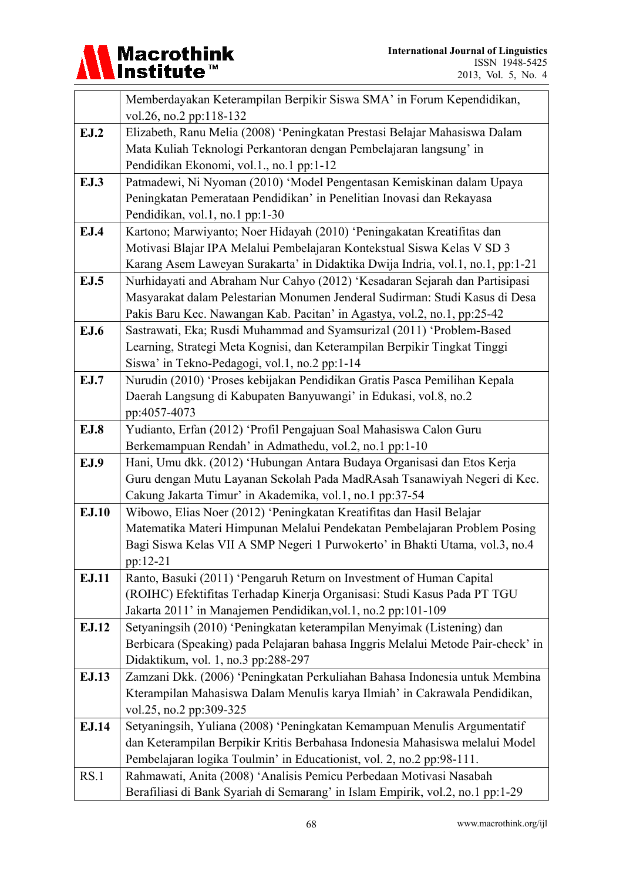

|              | Memberdayakan Keterampilan Berpikir Siswa SMA' in Forum Kependidikan,            |
|--------------|----------------------------------------------------------------------------------|
|              | vol.26, no.2 pp:118-132                                                          |
| EJ.2         | Elizabeth, Ranu Melia (2008) 'Peningkatan Prestasi Belajar Mahasiswa Dalam       |
|              | Mata Kuliah Teknologi Perkantoran dengan Pembelajaran langsung' in               |
|              | Pendidikan Ekonomi, vol.1., no.1 pp:1-12                                         |
| EJ.3         | Patmadewi, Ni Nyoman (2010) 'Model Pengentasan Kemiskinan dalam Upaya            |
|              | Peningkatan Pemerataan Pendidikan' in Penelitian Inovasi dan Rekayasa            |
|              | Pendidikan, vol.1, no.1 pp:1-30                                                  |
| EJ.4         | Kartono; Marwiyanto; Noer Hidayah (2010) 'Peningakatan Kreatifitas dan           |
|              | Motivasi Blajar IPA Melalui Pembelajaran Kontekstual Siswa Kelas V SD 3          |
|              | Karang Asem Laweyan Surakarta' in Didaktika Dwija Indria, vol.1, no.1, pp:1-21   |
| EJ.5         | Nurhidayati and Abraham Nur Cahyo (2012) 'Kesadaran Sejarah dan Partisipasi      |
|              | Masyarakat dalam Pelestarian Monumen Jenderal Sudirman: Studi Kasus di Desa      |
|              | Pakis Baru Kec. Nawangan Kab. Pacitan' in Agastya, vol.2, no.1, pp:25-42         |
| EJ.6         | Sastrawati, Eka; Rusdi Muhammad and Syamsurizal (2011) 'Problem-Based            |
|              | Learning, Strategi Meta Kognisi, dan Keterampilan Berpikir Tingkat Tinggi        |
|              | Siswa' in Tekno-Pedagogi, vol.1, no.2 pp:1-14                                    |
| EJ.7         | Nurudin (2010) 'Proses kebijakan Pendidikan Gratis Pasca Pemilihan Kepala        |
|              | Daerah Langsung di Kabupaten Banyuwangi' in Edukasi, vol.8, no.2<br>pp:4057-4073 |
| EJ.8         | Yudianto, Erfan (2012) 'Profil Pengajuan Soal Mahasiswa Calon Guru               |
|              | Berkemampuan Rendah' in Admathedu, vol.2, no.1 pp:1-10                           |
| EJ.9         | Hani, Umu dkk. (2012) 'Hubungan Antara Budaya Organisasi dan Etos Kerja          |
|              | Guru dengan Mutu Layanan Sekolah Pada MadRAsah Tsanawiyah Negeri di Kec.         |
|              | Cakung Jakarta Timur' in Akademika, vol.1, no.1 pp:37-54                         |
| <b>EJ.10</b> | Wibowo, Elias Noer (2012) 'Peningkatan Kreatifitas dan Hasil Belajar             |
|              | Matematika Materi Himpunan Melalui Pendekatan Pembelajaran Problem Posing        |
|              | Bagi Siswa Kelas VII A SMP Negeri 1 Purwokerto' in Bhakti Utama, vol.3, no.4     |
|              | pp:12-21                                                                         |
| EJ.11        | Ranto, Basuki (2011) 'Pengaruh Return on Investment of Human Capital             |
|              | (ROIHC) Efektifitas Terhadap Kinerja Organisasi: Studi Kasus Pada PT TGU         |
|              | Jakarta 2011' in Manajemen Pendidikan, vol.1, no.2 pp:101-109                    |
| EJ.12        | Setyaningsih (2010) 'Peningkatan keterampilan Menyimak (Listening) dan           |
|              | Berbicara (Speaking) pada Pelajaran bahasa Inggris Melalui Metode Pair-check' in |
|              | Didaktikum, vol. 1, no.3 pp:288-297                                              |
| EJ.13        | Zamzani Dkk. (2006) 'Peningkatan Perkuliahan Bahasa Indonesia untuk Membina      |
|              | Kterampilan Mahasiswa Dalam Menulis karya Ilmiah' in Cakrawala Pendidikan,       |
|              | vol.25, no.2 pp:309-325                                                          |
| EJ.14        | Setyaningsih, Yuliana (2008) 'Peningkatan Kemampuan Menulis Argumentatif         |
|              | dan Keterampilan Berpikir Kritis Berbahasa Indonesia Mahasiswa melalui Model     |
|              | Pembelajaran logika Toulmin' in Educationist, vol. 2, no.2 pp:98-111.            |
| RS.1         | Rahmawati, Anita (2008) 'Analisis Pemicu Perbedaan Motivasi Nasabah              |
|              | Berafiliasi di Bank Syariah di Semarang' in Islam Empirik, vol.2, no.1 pp:1-29   |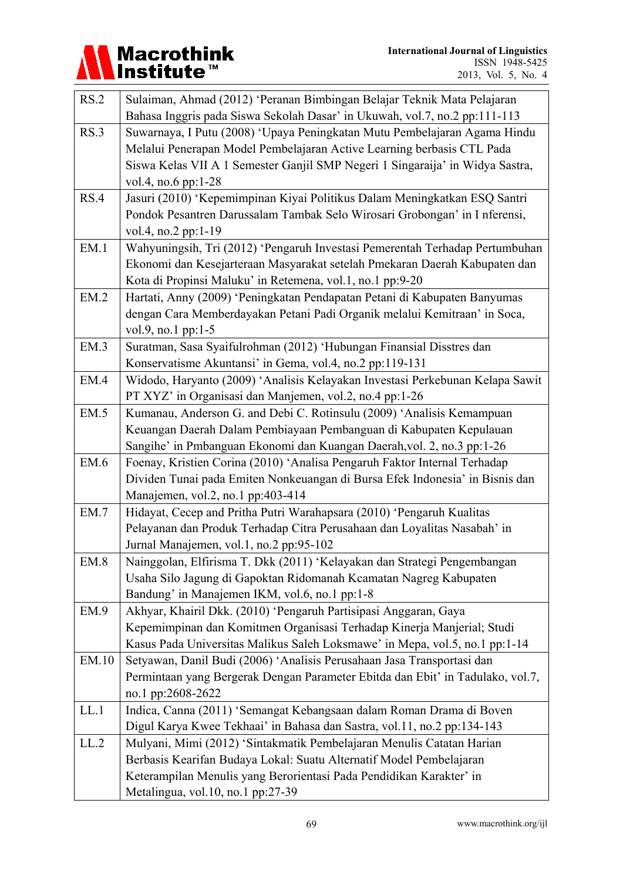# Macrothink<br>Mnstitute™

| RS.2  | Sulaiman, Ahmad (2012) 'Peranan Bimbingan Belajar Teknik Mata Pelajaran<br>Bahasa Inggris pada Siswa Sekolah Dasar' in Ukuwah, vol.7, no.2 pp:111-113     |
|-------|-----------------------------------------------------------------------------------------------------------------------------------------------------------|
| RS.3  | Suwarnaya, I Putu (2008) 'Upaya Peningkatan Mutu Pembelajaran Agama Hindu                                                                                 |
|       | Melalui Penerapan Model Pembelajaran Active Learning berbasis CTL Pada                                                                                    |
|       | Siswa Kelas VII A 1 Semester Ganjil SMP Negeri 1 Singaraija' in Widya Sastra,                                                                             |
| RS.4  | vol.4, no.6 pp:1-28<br>Jasuri (2010) 'Kepemimpinan Kiyai Politikus Dalam Meningkatkan ESQ Santri                                                          |
|       | Pondok Pesantren Darussalam Tambak Selo Wirosari Grobongan' in Inferensi,                                                                                 |
|       | vol.4, no.2 pp:1-19                                                                                                                                       |
| EM.1  | Wahyuningsih, Tri (2012) 'Pengaruh Investasi Pemerentah Terhadap Pertumbuhan                                                                              |
|       | Ekonomi dan Kesejarteraan Masyarakat setelah Pmekaran Daerah Kabupaten dan                                                                                |
|       | Kota di Propinsi Maluku' in Retemena, vol.1, no.1 pp:9-20                                                                                                 |
| EM.2  | Hartati, Anny (2009) 'Peningkatan Pendapatan Petani di Kabupaten Banyumas                                                                                 |
|       | dengan Cara Memberdayakan Petani Padi Organik melalui Kemitraan' in Soca,                                                                                 |
|       | vol.9, no.1 pp:1-5                                                                                                                                        |
| EM.3  | Suratman, Sasa Syaifulrohman (2012) 'Hubungan Finansial Disstres dan                                                                                      |
|       | Konservatisme Akuntansi' in Gema, vol.4, no.2 pp:119-131                                                                                                  |
| EM.4  | Widodo, Haryanto (2009) 'Analisis Kelayakan Investasi Perkebunan Kelapa Sawit                                                                             |
|       | PT XYZ' in Organisasi dan Manjemen, vol.2, no.4 pp:1-26                                                                                                   |
| EM.5  | Kumanau, Anderson G. and Debi C. Rotinsulu (2009) 'Analisis Kemampuan                                                                                     |
|       | Keuangan Daerah Dalam Pembiayaan Pembanguan di Kabupaten Kepulauan                                                                                        |
|       | Sangihe' in Pmbanguan Ekonomi dan Kuangan Daerah, vol. 2, no.3 pp:1-26                                                                                    |
| EM.6  | Foenay, Kristien Corina (2010) 'Analisa Pengaruh Faktor Internal Terhadap<br>Dividen Tunai pada Emiten Nonkeuangan di Bursa Efek Indonesia' in Bisnis dan |
|       | Manajemen, vol.2, no.1 pp:403-414                                                                                                                         |
| EM.7  | Hidayat, Cecep and Pritha Putri Warahapsara (2010) 'Pengaruh Kualitas                                                                                     |
|       | Pelayanan dan Produk Terhadap Citra Perusahaan dan Loyalitas Nasabah' in                                                                                  |
|       | Jurnal Manajemen, vol.1, no.2 pp:95-102                                                                                                                   |
| EM.8  | Nainggolan, Elfirisma T. Dkk (2011) 'Kelayakan dan Strategi Pengembangan                                                                                  |
|       | Usaha Silo Jagung di Gapoktan Ridomanah Kcamatan Nagreg Kabupaten                                                                                         |
|       | Bandung' in Manajemen IKM, vol.6, no.1 pp:1-8                                                                                                             |
| EM.9  | Akhyar, Khairil Dkk. (2010) 'Pengaruh Partisipasi Anggaran, Gaya                                                                                          |
|       | Kepemimpinan dan Komitmen Organisasi Terhadap Kinerja Manjerial; Studi                                                                                    |
|       | Kasus Pada Universitas Malikus Saleh Loksmawe' in Mepa, vol.5, no.1 pp:1-14                                                                               |
| EM.10 | Setyawan, Danil Budi (2006) 'Analisis Perusahaan Jasa Transportasi dan                                                                                    |
|       | Permintaan yang Bergerak Dengan Parameter Ebitda dan Ebit' in Tadulako, vol.7,                                                                            |
|       | no.1 pp:2608-2622                                                                                                                                         |
| LL.1  | Indica, Canna (2011) 'Semangat Kebangsaan dalam Roman Drama di Boven                                                                                      |
|       | Digul Karya Kwee Tekhaai' in Bahasa dan Sastra, vol.11, no.2 pp:134-143                                                                                   |
| LL.2  | Mulyani, Mimi (2012) 'Sintakmatik Pembelajaran Menulis Catatan Harian                                                                                     |
|       | Berbasis Kearifan Budaya Lokal: Suatu Alternatif Model Pembelajaran                                                                                       |
|       | Keterampilan Menulis yang Berorientasi Pada Pendidikan Karakter' in                                                                                       |
|       | Metalingua, vol.10, no.1 pp:27-39                                                                                                                         |